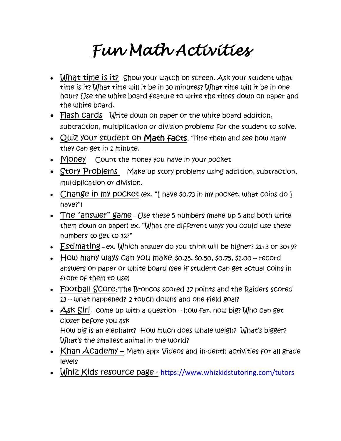## *Fun Math Activities*

- What time is it? Show your watch on screen. Ask your student what time is it? What time will it be in 30 minutes? What time will it be in one hour? Use the white board feature to write the times down on paper and the white board.
- Flash cards Write down on paper or the white board addition, subtraction, multiplication or division problems for the student to solve.
- Quiz your student on Math facts**.** Time them and see how many they can get in 1 minute.
- Money Count the money you have in your pocket
- Story Problems Make up story problems using addition, subtraction, multiplication or division.
- Change in my pocket (ex. "I have \$0.73 in my pocket, what coins do  $I$ have?")
- The "answer" game Use these 5 numbers (make up 5 and both write them down on paper) ex. "What are different ways you could use these numbers to get to 12?"
- $\bullet$  Estimating ex. Which answer do you think will be higher? 21+3 or 30+9?
- $\bullet$  How many ways Can you make: \$0.25, \$0.50, \$0.75, \$1.00 record answers on paper or white board (see if student can get actual coins in front of them to use)
- Football Score**:** The Broncos scored 17 points and the Raiders scored 13 – what happened? 2 touch downs and one field goal?
- $\blacktriangleright$   $\blacktriangle$ SK  $\operatorname{Sir}$  come up with a question how far, how big? Who can get closer before you ask How big is an elephant? How much does whale weigh? What's bigger? What's the smallest animal in the world?
- Khan Academy Math app: Videos and in-depth activities for all grade levels
- Whiz Kids resource page <https://www.whizkidstutoring.com/tutors>